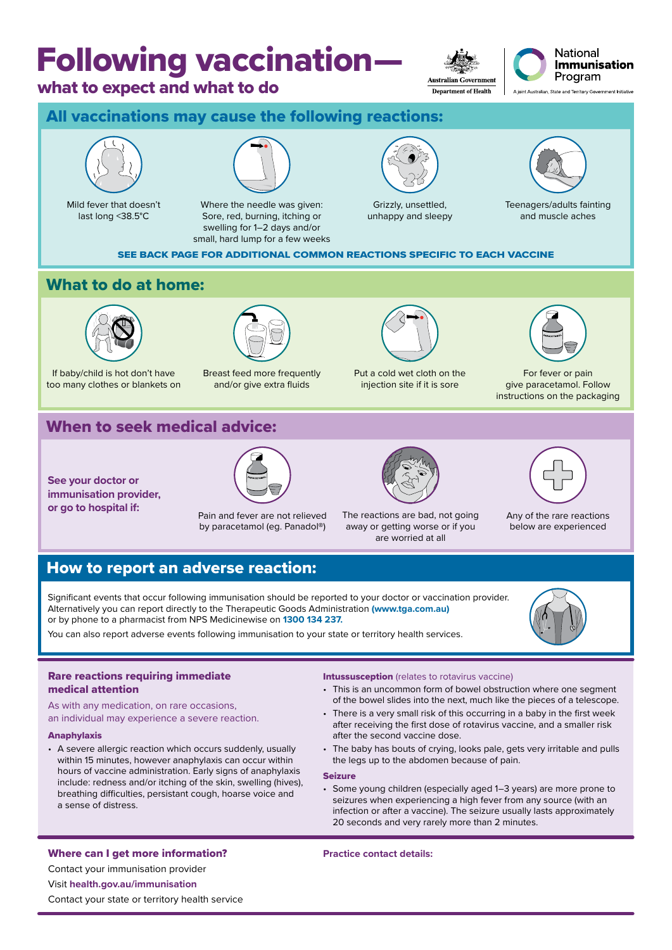# Following vaccination—

## what to expect and what to do

**Australian Government Department of Health** 



All vaccinations may cause the following reactions:



Mild fever that doesn't last long <38.5°C



Where the needle was given: Sore, red, burning, itching or swelling for 1–2 days and/or small, hard lump for a few weeks



Grizzly, unsettled, unhappy and sleepy



Teenagers/adults fainting and muscle aches

SEE BACK PAGE FOR ADDITIONAL COMMON REACTIONS SPECIFIC TO EACH VACCINE

## What to do at home:



If baby/child is hot don't have too many clothes or blankets on



Breast feed more frequently and/or give extra fluids



Put a cold wet cloth on the injection site if it is sore



For fever or pain give paracetamol. Follow instructions on the packaging

# When to seek medical advice:

**See your doctor or immunisation provider, or go to hospital if:** Pain and fever are not relieved



by paracetamol (eg. Panadol®)



The reactions are bad, not going away or getting worse or if you are worried at all



Any of the rare reactions below are experienced

## How to report an adverse reaction:

Significant events that occur following immunisation should be reported to your doctor or vaccination provider. Alternatively you can report directly to the Therapeutic Goods Administration **(www.tga.com.au)** or by phone to a pharmacist from NPS Medicinewise on **1300 134 237.** 

You can also report adverse events following immunisation to your state or territory health services.



## Rare reactions requiring immediate medical attention

As with any medication, on rare occasions, an individual may experience a severe reaction.

#### Anaphylaxis

• A severe allergic reaction which occurs suddenly, usually within 15 minutes, however anaphylaxis can occur within hours of vaccine administration. Early signs of anaphylaxis include: redness and/or itching of the skin, swelling (hives), breathing difficulties, persistant cough, hoarse voice and a sense of distress.

#### **Intussusception** (relates to rotavirus vaccine)

- This is an uncommon form of bowel obstruction where one segment of the bowel slides into the next, much like the pieces of a telescope.
- There is a very small risk of this occurring in a baby in the first week after receiving the first dose of rotavirus vaccine, and a smaller risk after the second vaccine dose.
- The baby has bouts of crying, looks pale, gets very irritable and pulls the legs up to the abdomen because of pain.

#### Seizure

• Some young children (especially aged 1–3 years) are more prone to seizures when experiencing a high fever from any source (with an infection or after a vaccine). The seizure usually lasts approximately 20 seconds and very rarely more than 2 minutes.

## Where can I get more information? Contact your immunisation provider Visit **health.gov.au/immunisation**

Contact your state or territory health service

**Practice contact details:**